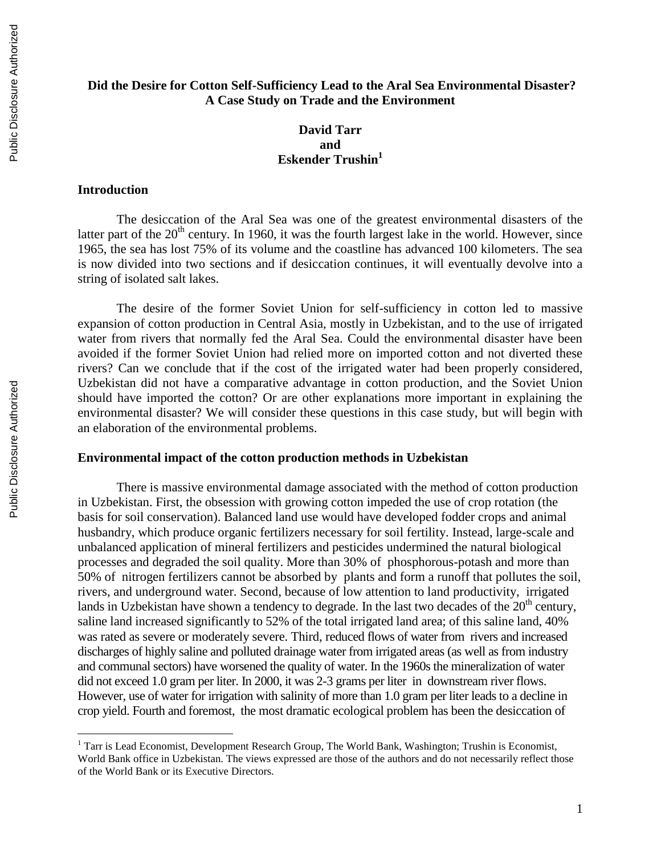## **Did the Desire for Cotton Self-Sufficiency Lead to the Aral Sea Environmental Disaster? A Case Study on Trade and the Environment**

## **David Tarr and Eskender Trushin<sup>1</sup>**

## **Introduction**

The desiccation of the Aral Sea was one of the greatest environmental disasters of the latter part of the  $20<sup>th</sup>$  century. In 1960, it was the fourth largest lake in the world. However, since 1965, the sea has lost 75% of its volume and the coastline has advanced 100 kilometers. The sea is now divided into two sections and if desiccation continues, it will eventually devolve into a string of isolated salt lakes.

The desire of the former Soviet Union for self-sufficiency in cotton led to massive expansion of cotton production in Central Asia, mostly in Uzbekistan, and to the use of irrigated water from rivers that normally fed the Aral Sea. Could the environmental disaster have been avoided if the former Soviet Union had relied more on imported cotton and not diverted these rivers? Can we conclude that if the cost of the irrigated water had been properly considered, Uzbekistan did not have a comparative advantage in cotton production, and the Soviet Union should have imported the cotton? Or are other explanations more important in explaining the environmental disaster? We will consider these questions in this case study, but will begin with an elaboration of the environmental problems.

## **Environmental impact of the cotton production methods in Uzbekistan**

There is massive environmental damage associated with the method of cotton production in Uzbekistan. First, the obsession with growing cotton impeded the use of crop rotation (the basis for soil conservation). Balanced land use would have developed fodder crops and animal husbandry, which produce organic fertilizers necessary for soil fertility. Instead, large-scale and unbalanced application of mineral fertilizers and pesticides undermined the natural biological processes and degraded the soil quality. More than 30% of phosphorous-potash and more than 50% of nitrogen fertilizers cannot be absorbed by plants and form a runoff that pollutes the soil, rivers, and underground water. Second, because of low attention to land productivity, irrigated lands in Uzbekistan have shown a tendency to degrade. In the last two decades of the  $20<sup>th</sup>$  century, saline land increased significantly to 52% of the total irrigated land area; of this saline land, 40% was rated as severe or moderately severe. Third, reduced flows of water from rivers and increased discharges of highly saline and polluted drainage water from irrigated areas (as well as from industry and communal sectors) have worsened the quality of water. In the 1960s the mineralization of water did not exceed 1.0 gram per liter. In 2000, it was 2-3 grams per liter in downstream river flows. However, use of water for irrigation with salinity of more than 1.0 gram per liter leads to a decline in crop yield. Fourth and foremost, the most dramatic ecological problem has been the desiccation of

 $\overline{a}$ 

 $1$  Tarr is Lead Economist, Development Research Group, The World Bank, Washington; Trushin is Economist, World Bank office in Uzbekistan. The views expressed are those of the authors and do not necessarily reflect those of the World Bank or its Executive Directors.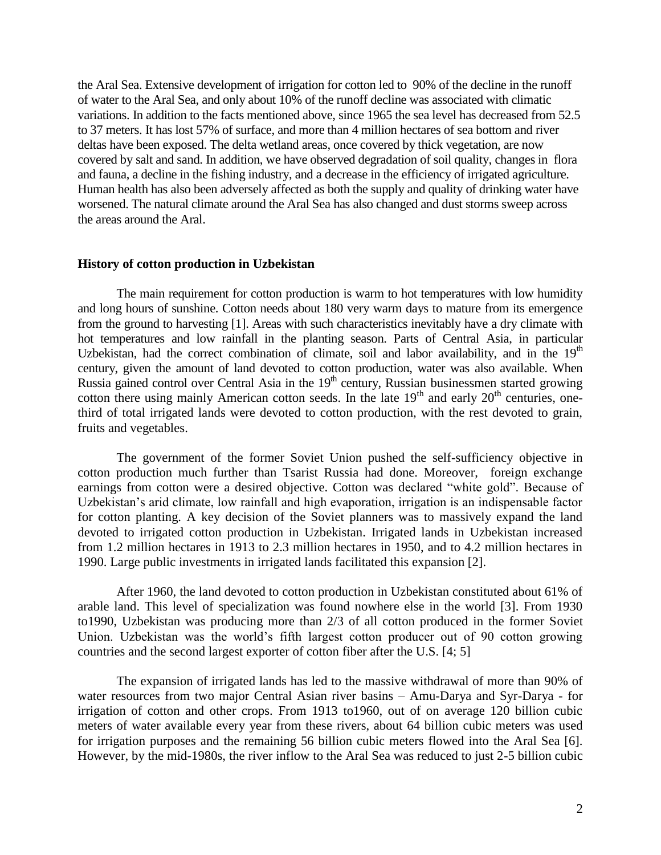the Aral Sea. Extensive development of irrigation for cotton led to 90% of the decline in the runoff of water to the Aral Sea, and only about 10% of the runoff decline was associated with climatic variations. In addition to the facts mentioned above, since 1965 the sea level has decreased from 52.5 to 37 meters. It has lost 57% of surface, and more than 4 million hectares of sea bottom and river deltas have been exposed. The delta wetland areas, once covered by thick vegetation, are now covered by salt and sand. In addition, we have observed degradation of soil quality, changes in flora and fauna, a decline in the fishing industry, and a decrease in the efficiency of irrigated agriculture. Human health has also been adversely affected as both the supply and quality of drinking water have worsened. The natural climate around the Aral Sea has also changed and dust storms sweep across the areas around the Aral.

#### **History of cotton production in Uzbekistan**

The main requirement for cotton production is warm to hot temperatures with low humidity and long hours of sunshine. Cotton needs about 180 very warm days to mature from its emergence from the ground to harvesting [1]. Areas with such characteristics inevitably have a dry climate with hot temperatures and low rainfall in the planting season. Parts of Central Asia, in particular Uzbekistan, had the correct combination of climate, soil and labor availability, and in the  $19<sup>th</sup>$ century, given the amount of land devoted to cotton production, water was also available. When Russia gained control over Central Asia in the  $19<sup>th</sup>$  century, Russian businessmen started growing cotton there using mainly American cotton seeds. In the late  $19<sup>th</sup>$  and early  $20<sup>th</sup>$  centuries, onethird of total irrigated lands were devoted to cotton production, with the rest devoted to grain, fruits and vegetables.

The government of the former Soviet Union pushed the self-sufficiency objective in cotton production much further than Tsarist Russia had done. Moreover, foreign exchange earnings from cotton were a desired objective. Cotton was declared "white gold". Because of Uzbekistan's arid climate, low rainfall and high evaporation, irrigation is an indispensable factor for cotton planting. A key decision of the Soviet planners was to massively expand the land devoted to irrigated cotton production in Uzbekistan. Irrigated lands in Uzbekistan increased from 1.2 million hectares in 1913 to 2.3 million hectares in 1950, and to 4.2 million hectares in 1990. Large public investments in irrigated lands facilitated this expansion [2].

After 1960, the land devoted to cotton production in Uzbekistan constituted about 61% of arable land. This level of specialization was found nowhere else in the world [3]. From 1930 to1990, Uzbekistan was producing more than 2/3 of all cotton produced in the former Soviet Union. Uzbekistan was the world's fifth largest cotton producer out of 90 cotton growing countries and the second largest exporter of cotton fiber after the U.S. [4; 5]

The expansion of irrigated lands has led to the massive withdrawal of more than 90% of water resources from two major Central Asian river basins – Amu-Darya and Syr-Darya - for irrigation of cotton and other crops. From 1913 to1960, out of on average 120 billion cubic meters of water available every year from these rivers, about 64 billion cubic meters was used for irrigation purposes and the remaining 56 billion cubic meters flowed into the Aral Sea [6]. However, by the mid-1980s, the river inflow to the Aral Sea was reduced to just 2-5 billion cubic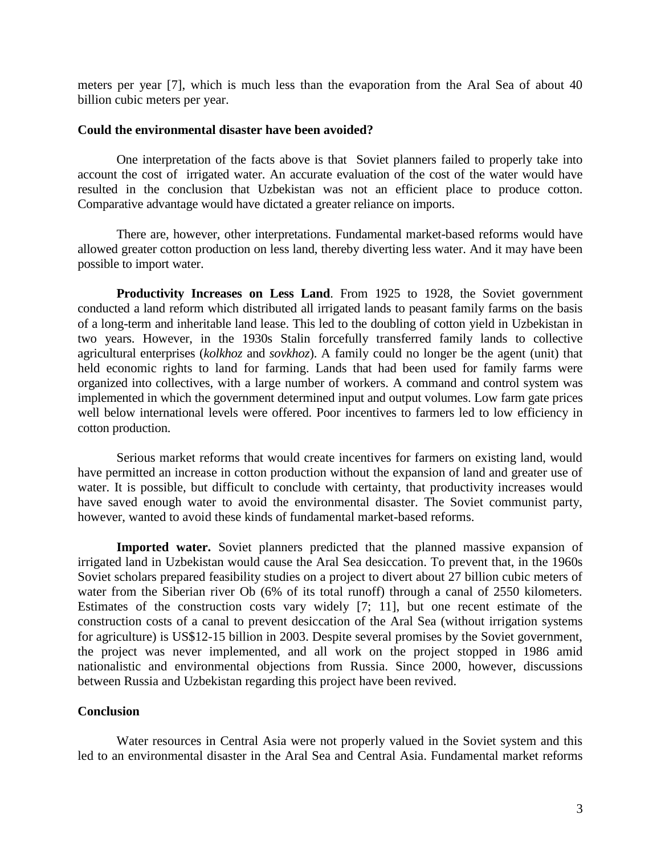meters per year [7], which is much less than the evaporation from the Aral Sea of about 40 billion cubic meters per year.

#### **Could the environmental disaster have been avoided?**

One interpretation of the facts above is that Soviet planners failed to properly take into account the cost of irrigated water. An accurate evaluation of the cost of the water would have resulted in the conclusion that Uzbekistan was not an efficient place to produce cotton. Comparative advantage would have dictated a greater reliance on imports.

There are, however, other interpretations. Fundamental market-based reforms would have allowed greater cotton production on less land, thereby diverting less water. And it may have been possible to import water.

**Productivity Increases on Less Land.** From 1925 to 1928, the Soviet government conducted a land reform which distributed all irrigated lands to peasant family farms on the basis of a long-term and inheritable land lease. This led to the doubling of cotton yield in Uzbekistan in two years. However, in the 1930s Stalin forcefully transferred family lands to collective agricultural enterprises (*kolkhoz* and *sovkhoz*). A family could no longer be the agent (unit) that held economic rights to land for farming. Lands that had been used for family farms were organized into collectives, with a large number of workers. A command and control system was implemented in which the government determined input and output volumes. Low farm gate prices well below international levels were offered. Poor incentives to farmers led to low efficiency in cotton production.

Serious market reforms that would create incentives for farmers on existing land, would have permitted an increase in cotton production without the expansion of land and greater use of water. It is possible, but difficult to conclude with certainty, that productivity increases would have saved enough water to avoid the environmental disaster. The Soviet communist party, however, wanted to avoid these kinds of fundamental market-based reforms.

**Imported water.** Soviet planners predicted that the planned massive expansion of irrigated land in Uzbekistan would cause the Aral Sea desiccation. To prevent that, in the 1960s Soviet scholars prepared feasibility studies on a project to divert about 27 billion cubic meters of water from the Siberian river Ob (6% of its total runoff) through a canal of 2550 kilometers. Estimates of the construction costs vary widely [7; 11], but one recent estimate of the construction costs of a canal to prevent desiccation of the Aral Sea (without irrigation systems for agriculture) is US\$12-15 billion in 2003. Despite several promises by the Soviet government, the project was never implemented, and all work on the project stopped in 1986 amid nationalistic and environmental objections from Russia. Since 2000, however, discussions between Russia and Uzbekistan regarding this project have been revived.

### **Conclusion**

Water resources in Central Asia were not properly valued in the Soviet system and this led to an environmental disaster in the Aral Sea and Central Asia. Fundamental market reforms